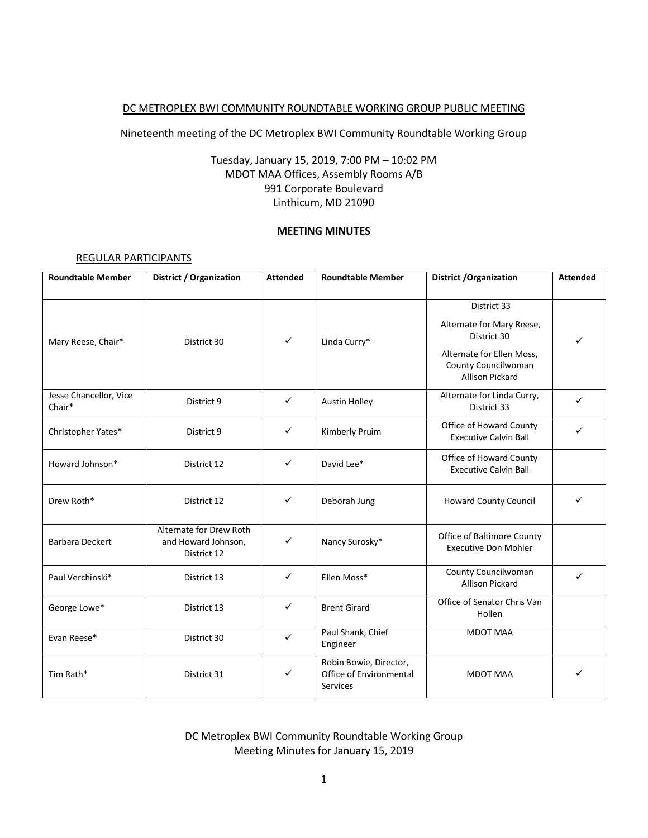### DC METROPLEX BWI COMMUNITY ROUNDTABLE WORKING GROUP PUBLIC MEETING

Nineteenth meeting of the DC Metroplex BWI Community Roundtable Working Group

# Tuesday, January 15, 2019, 7:00 PM – 10:02 PM MDOT MAA Offices, Assembly Rooms A/B 991 Corporate Boulevard Linthicum, MD 21090

### **MEETING MINUTES**

#### REGULAR PARTICIPANTS

| <b>Roundtable Member</b>         | District / Organization                                       | <b>Attended</b> | <b>Roundtable Member</b>                                      | <b>District /Organization</b>                                                                                                         | <b>Attended</b> |
|----------------------------------|---------------------------------------------------------------|-----------------|---------------------------------------------------------------|---------------------------------------------------------------------------------------------------------------------------------------|-----------------|
| Mary Reese, Chair*               | District 30                                                   | $\checkmark$    | Linda Curry*                                                  | District 33<br>Alternate for Mary Reese,<br>District 30<br>Alternate for Ellen Moss,<br>County Councilwoman<br><b>Allison Pickard</b> | ✓               |
| Jesse Chancellor, Vice<br>Chair* | District 9                                                    | $\checkmark$    | <b>Austin Holley</b>                                          | Alternate for Linda Curry,<br>District 33                                                                                             | ✓               |
| Christopher Yates*               | District 9                                                    | ✓               | Kimberly Pruim                                                | Office of Howard County<br><b>Executive Calvin Ball</b>                                                                               | ✓               |
| Howard Johnson*                  | District 12                                                   | $\checkmark$    | David Lee*                                                    | Office of Howard County<br><b>Executive Calvin Ball</b>                                                                               |                 |
| Drew Roth*                       | District 12                                                   | ✓               | Deborah Jung                                                  | <b>Howard County Council</b>                                                                                                          | ✓               |
| <b>Barbara Deckert</b>           | Alternate for Drew Roth<br>and Howard Johnson,<br>District 12 | ✓               | Nancy Surosky*                                                | Office of Baltimore County<br><b>Executive Don Mohler</b>                                                                             |                 |
| Paul Verchinski*                 | District 13                                                   | ✓               | Ellen Moss*                                                   | County Councilwoman<br><b>Allison Pickard</b>                                                                                         | $\checkmark$    |
| George Lowe*                     | District 13                                                   | ✓               | <b>Brent Girard</b>                                           | Office of Senator Chris Van<br>Hollen                                                                                                 |                 |
| Evan Reese*                      | District 30                                                   | ✓               | Paul Shank, Chief<br>Engineer                                 | <b>MDOT MAA</b>                                                                                                                       |                 |
| Tim Rath*                        | District 31                                                   | ✓               | Robin Bowie, Director,<br>Office of Environmental<br>Services | <b>MDOT MAA</b>                                                                                                                       |                 |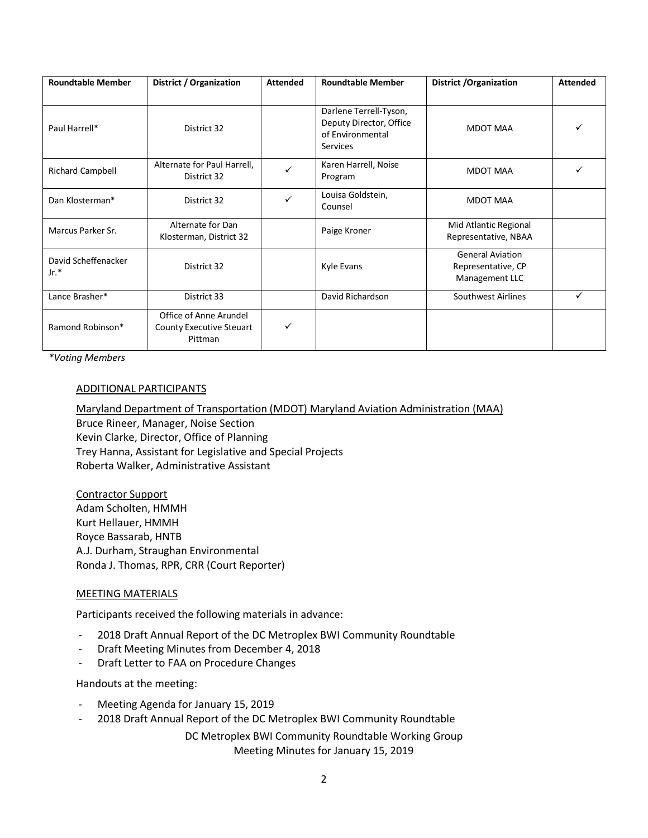| <b>Roundtable Member</b>      | District / Organization                                       | <b>Attended</b> | <b>Roundtable Member</b>                                                          | <b>District /Organization</b>                                   | <b>Attended</b> |
|-------------------------------|---------------------------------------------------------------|-----------------|-----------------------------------------------------------------------------------|-----------------------------------------------------------------|-----------------|
| Paul Harrell*                 | District 32                                                   |                 | Darlene Terrell-Tyson,<br>Deputy Director, Office<br>of Environmental<br>Services | <b>MDOT MAA</b>                                                 |                 |
| <b>Richard Campbell</b>       | Alternate for Paul Harrell,<br>District 32                    | ✓               | Karen Harrell, Noise<br>Program                                                   | <b>MDOT MAA</b>                                                 |                 |
| Dan Klosterman*               | District 32                                                   | ✓               | Louisa Goldstein,<br>Counsel                                                      | <b>MDOT MAA</b>                                                 |                 |
| Marcus Parker Sr.             | Alternate for Dan<br>Klosterman, District 32                  |                 | Paige Kroner                                                                      | Mid Atlantic Regional<br>Representative, NBAA                   |                 |
| David Scheffenacker<br>$Jr.*$ | District 32                                                   |                 | Kyle Evans                                                                        | <b>General Aviation</b><br>Representative, CP<br>Management LLC |                 |
| Lance Brasher*                | District 33                                                   |                 | David Richardson                                                                  | Southwest Airlines                                              | ✓               |
| Ramond Robinson*              | Office of Anne Arundel<br>County Executive Steuart<br>Pittman | ✓               |                                                                                   |                                                                 |                 |

*\*Voting Members*

#### ADDITIONAL PARTICIPANTS

Maryland Department of Transportation (MDOT) Maryland Aviation Administration (MAA) Bruce Rineer, Manager, Noise Section Kevin Clarke, Director, Office of Planning Trey Hanna, Assistant for Legislative and Special Projects Roberta Walker, Administrative Assistant

Contractor Support Adam Scholten, HMMH Kurt Hellauer, HMMH Royce Bassarab, HNTB A.J. Durham, Straughan Environmental Ronda J. Thomas, RPR, CRR (Court Reporter)

### MEETING MATERIALS

Participants received the following materials in advance:

- 2018 Draft Annual Report of the DC Metroplex BWI Community Roundtable
- Draft Meeting Minutes from December 4, 2018
- Draft Letter to FAA on Procedure Changes

Handouts at the meeting:

- Meeting Agenda for January 15, 2019
- 2018 Draft Annual Report of the DC Metroplex BWI Community Roundtable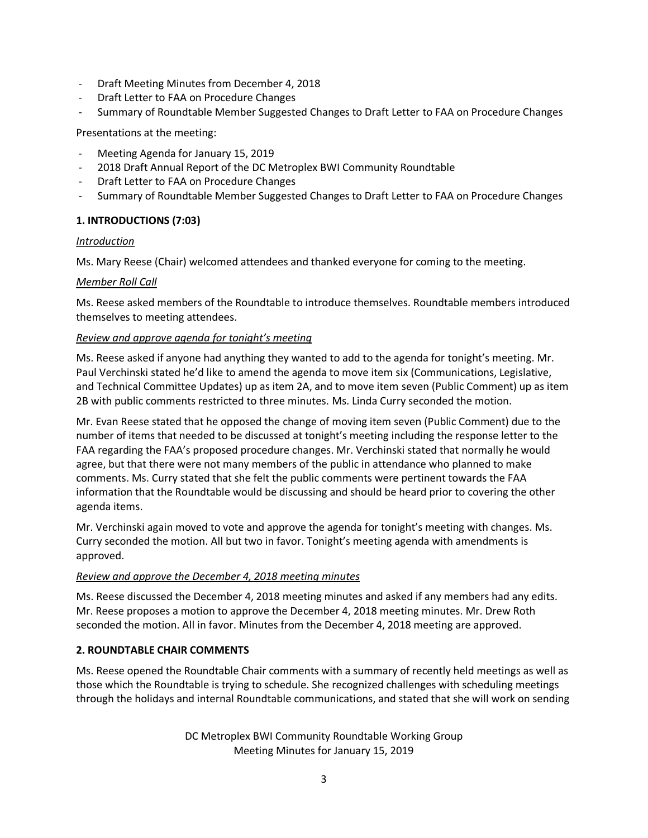- Draft Meeting Minutes from December 4, 2018
- Draft Letter to FAA on Procedure Changes
- Summary of Roundtable Member Suggested Changes to Draft Letter to FAA on Procedure Changes

### Presentations at the meeting:

- Meeting Agenda for January 15, 2019
- 2018 Draft Annual Report of the DC Metroplex BWI Community Roundtable
- Draft Letter to FAA on Procedure Changes
- Summary of Roundtable Member Suggested Changes to Draft Letter to FAA on Procedure Changes

# **1. INTRODUCTIONS (7:03)**

### *Introduction*

Ms. Mary Reese (Chair) welcomed attendees and thanked everyone for coming to the meeting.

### *Member Roll Call*

Ms. Reese asked members of the Roundtable to introduce themselves. Roundtable members introduced themselves to meeting attendees.

## *Review and approve agenda for tonight's meeting*

Ms. Reese asked if anyone had anything they wanted to add to the agenda for tonight's meeting. Mr. Paul Verchinski stated he'd like to amend the agenda to move item six (Communications, Legislative, and Technical Committee Updates) up as item 2A, and to move item seven (Public Comment) up as item 2B with public comments restricted to three minutes. Ms. Linda Curry seconded the motion.

Mr. Evan Reese stated that he opposed the change of moving item seven (Public Comment) due to the number of items that needed to be discussed at tonight's meeting including the response letter to the FAA regarding the FAA's proposed procedure changes. Mr. Verchinski stated that normally he would agree, but that there were not many members of the public in attendance who planned to make comments. Ms. Curry stated that she felt the public comments were pertinent towards the FAA information that the Roundtable would be discussing and should be heard prior to covering the other agenda items.

Mr. Verchinski again moved to vote and approve the agenda for tonight's meeting with changes. Ms. Curry seconded the motion. All but two in favor. Tonight's meeting agenda with amendments is approved.

### *Review and approve the December 4, 2018 meeting minutes*

Ms. Reese discussed the December 4, 2018 meeting minutes and asked if any members had any edits. Mr. Reese proposes a motion to approve the December 4, 2018 meeting minutes. Mr. Drew Roth seconded the motion. All in favor. Minutes from the December 4, 2018 meeting are approved.

# **2. ROUNDTABLE CHAIR COMMENTS**

Ms. Reese opened the Roundtable Chair comments with a summary of recently held meetings as well as those which the Roundtable is trying to schedule. She recognized challenges with scheduling meetings through the holidays and internal Roundtable communications, and stated that she will work on sending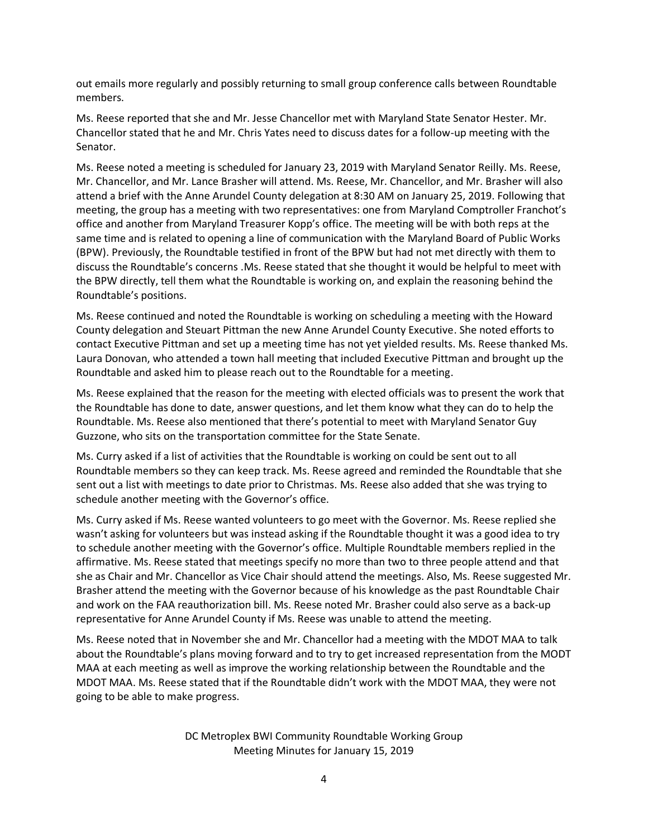out emails more regularly and possibly returning to small group conference calls between Roundtable members.

Ms. Reese reported that she and Mr. Jesse Chancellor met with Maryland State Senator Hester. Mr. Chancellor stated that he and Mr. Chris Yates need to discuss dates for a follow-up meeting with the Senator.

Ms. Reese noted a meeting is scheduled for January 23, 2019 with Maryland Senator Reilly. Ms. Reese, Mr. Chancellor, and Mr. Lance Brasher will attend. Ms. Reese, Mr. Chancellor, and Mr. Brasher will also attend a brief with the Anne Arundel County delegation at 8:30 AM on January 25, 2019. Following that meeting, the group has a meeting with two representatives: one from Maryland Comptroller Franchot's office and another from Maryland Treasurer Kopp's office. The meeting will be with both reps at the same time and is related to opening a line of communication with the Maryland Board of Public Works (BPW). Previously, the Roundtable testified in front of the BPW but had not met directly with them to discuss the Roundtable's concerns .Ms. Reese stated that she thought it would be helpful to meet with the BPW directly, tell them what the Roundtable is working on, and explain the reasoning behind the Roundtable's positions.

Ms. Reese continued and noted the Roundtable is working on scheduling a meeting with the Howard County delegation and Steuart Pittman the new Anne Arundel County Executive. She noted efforts to contact Executive Pittman and set up a meeting time has not yet yielded results. Ms. Reese thanked Ms. Laura Donovan, who attended a town hall meeting that included Executive Pittman and brought up the Roundtable and asked him to please reach out to the Roundtable for a meeting.

Ms. Reese explained that the reason for the meeting with elected officials was to present the work that the Roundtable has done to date, answer questions, and let them know what they can do to help the Roundtable. Ms. Reese also mentioned that there's potential to meet with Maryland Senator Guy Guzzone, who sits on the transportation committee for the State Senate.

Ms. Curry asked if a list of activities that the Roundtable is working on could be sent out to all Roundtable members so they can keep track. Ms. Reese agreed and reminded the Roundtable that she sent out a list with meetings to date prior to Christmas. Ms. Reese also added that she was trying to schedule another meeting with the Governor's office.

Ms. Curry asked if Ms. Reese wanted volunteers to go meet with the Governor. Ms. Reese replied she wasn't asking for volunteers but was instead asking if the Roundtable thought it was a good idea to try to schedule another meeting with the Governor's office. Multiple Roundtable members replied in the affirmative. Ms. Reese stated that meetings specify no more than two to three people attend and that she as Chair and Mr. Chancellor as Vice Chair should attend the meetings. Also, Ms. Reese suggested Mr. Brasher attend the meeting with the Governor because of his knowledge as the past Roundtable Chair and work on the FAA reauthorization bill. Ms. Reese noted Mr. Brasher could also serve as a back-up representative for Anne Arundel County if Ms. Reese was unable to attend the meeting.

Ms. Reese noted that in November she and Mr. Chancellor had a meeting with the MDOT MAA to talk about the Roundtable's plans moving forward and to try to get increased representation from the MODT MAA at each meeting as well as improve the working relationship between the Roundtable and the MDOT MAA. Ms. Reese stated that if the Roundtable didn't work with the MDOT MAA, they were not going to be able to make progress.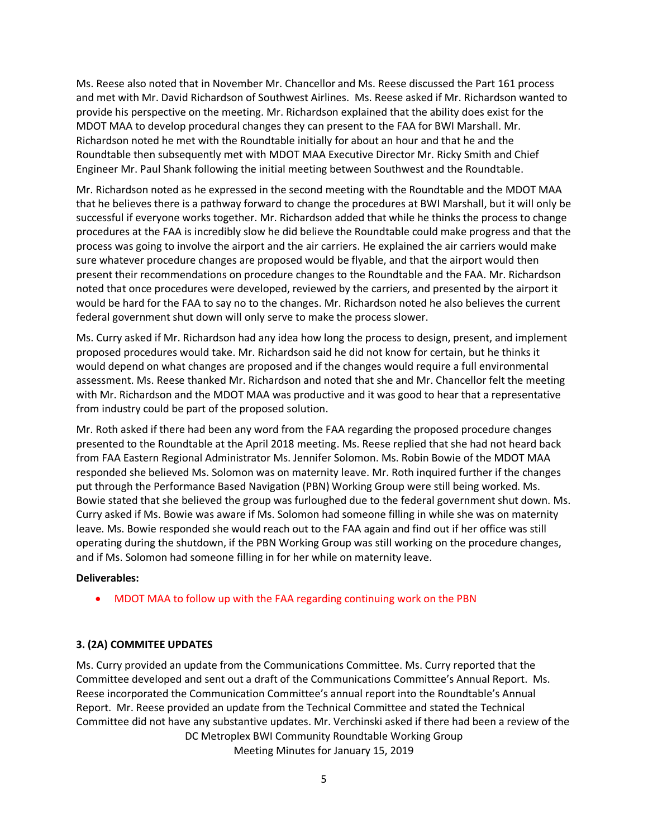Ms. Reese also noted that in November Mr. Chancellor and Ms. Reese discussed the Part 161 process and met with Mr. David Richardson of Southwest Airlines. Ms. Reese asked if Mr. Richardson wanted to provide his perspective on the meeting. Mr. Richardson explained that the ability does exist for the MDOT MAA to develop procedural changes they can present to the FAA for BWI Marshall. Mr. Richardson noted he met with the Roundtable initially for about an hour and that he and the Roundtable then subsequently met with MDOT MAA Executive Director Mr. Ricky Smith and Chief Engineer Mr. Paul Shank following the initial meeting between Southwest and the Roundtable.

Mr. Richardson noted as he expressed in the second meeting with the Roundtable and the MDOT MAA that he believes there is a pathway forward to change the procedures at BWI Marshall, but it will only be successful if everyone works together. Mr. Richardson added that while he thinks the process to change procedures at the FAA is incredibly slow he did believe the Roundtable could make progress and that the process was going to involve the airport and the air carriers. He explained the air carriers would make sure whatever procedure changes are proposed would be flyable, and that the airport would then present their recommendations on procedure changes to the Roundtable and the FAA. Mr. Richardson noted that once procedures were developed, reviewed by the carriers, and presented by the airport it would be hard for the FAA to say no to the changes. Mr. Richardson noted he also believes the current federal government shut down will only serve to make the process slower.

Ms. Curry asked if Mr. Richardson had any idea how long the process to design, present, and implement proposed procedures would take. Mr. Richardson said he did not know for certain, but he thinks it would depend on what changes are proposed and if the changes would require a full environmental assessment. Ms. Reese thanked Mr. Richardson and noted that she and Mr. Chancellor felt the meeting with Mr. Richardson and the MDOT MAA was productive and it was good to hear that a representative from industry could be part of the proposed solution.

Mr. Roth asked if there had been any word from the FAA regarding the proposed procedure changes presented to the Roundtable at the April 2018 meeting. Ms. Reese replied that she had not heard back from FAA Eastern Regional Administrator Ms. Jennifer Solomon. Ms. Robin Bowie of the MDOT MAA responded she believed Ms. Solomon was on maternity leave. Mr. Roth inquired further if the changes put through the Performance Based Navigation (PBN) Working Group were still being worked. Ms. Bowie stated that she believed the group was furloughed due to the federal government shut down. Ms. Curry asked if Ms. Bowie was aware if Ms. Solomon had someone filling in while she was on maternity leave. Ms. Bowie responded she would reach out to the FAA again and find out if her office was still operating during the shutdown, if the PBN Working Group was still working on the procedure changes, and if Ms. Solomon had someone filling in for her while on maternity leave.

#### **Deliverables:**

MDOT MAA to follow up with the FAA regarding continuing work on the PBN

### **3. (2A) COMMITEE UPDATES**

DC Metroplex BWI Community Roundtable Working Group Meeting Minutes for January 15, 2019 Ms. Curry provided an update from the Communications Committee. Ms. Curry reported that the Committee developed and sent out a draft of the Communications Committee's Annual Report. Ms. Reese incorporated the Communication Committee's annual report into the Roundtable's Annual Report. Mr. Reese provided an update from the Technical Committee and stated the Technical Committee did not have any substantive updates. Mr. Verchinski asked if there had been a review of the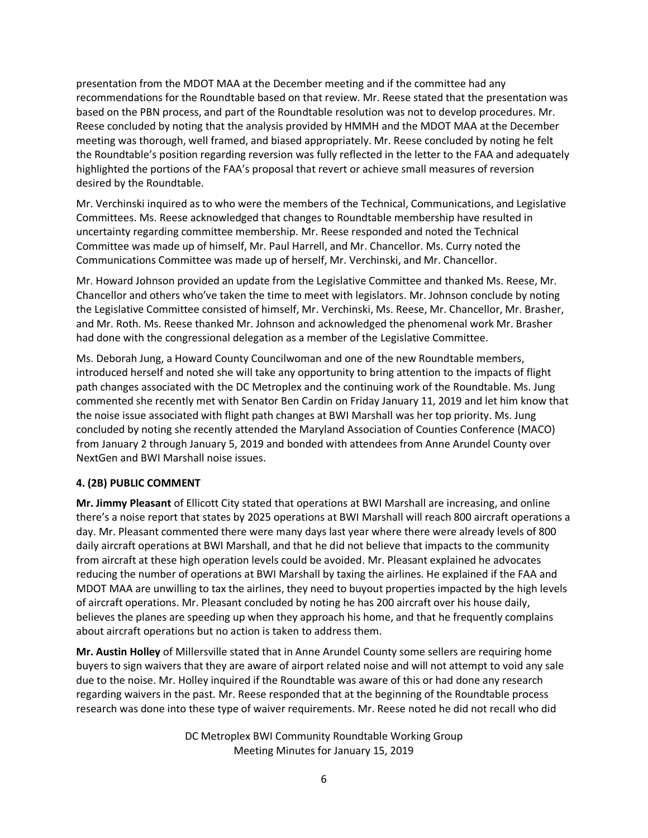presentation from the MDOT MAA at the December meeting and if the committee had any recommendations for the Roundtable based on that review. Mr. Reese stated that the presentation was based on the PBN process, and part of the Roundtable resolution was not to develop procedures. Mr. Reese concluded by noting that the analysis provided by HMMH and the MDOT MAA at the December meeting was thorough, well framed, and biased appropriately. Mr. Reese concluded by noting he felt the Roundtable's position regarding reversion was fully reflected in the letter to the FAA and adequately highlighted the portions of the FAA's proposal that revert or achieve small measures of reversion desired by the Roundtable.

Mr. Verchinski inquired as to who were the members of the Technical, Communications, and Legislative Committees. Ms. Reese acknowledged that changes to Roundtable membership have resulted in uncertainty regarding committee membership. Mr. Reese responded and noted the Technical Committee was made up of himself, Mr. Paul Harrell, and Mr. Chancellor. Ms. Curry noted the Communications Committee was made up of herself, Mr. Verchinski, and Mr. Chancellor.

Mr. Howard Johnson provided an update from the Legislative Committee and thanked Ms. Reese, Mr. Chancellor and others who've taken the time to meet with legislators. Mr. Johnson conclude by noting the Legislative Committee consisted of himself, Mr. Verchinski, Ms. Reese, Mr. Chancellor, Mr. Brasher, and Mr. Roth. Ms. Reese thanked Mr. Johnson and acknowledged the phenomenal work Mr. Brasher had done with the congressional delegation as a member of the Legislative Committee.

Ms. Deborah Jung, a Howard County Councilwoman and one of the new Roundtable members, introduced herself and noted she will take any opportunity to bring attention to the impacts of flight path changes associated with the DC Metroplex and the continuing work of the Roundtable. Ms. Jung commented she recently met with Senator Ben Cardin on Friday January 11, 2019 and let him know that the noise issue associated with flight path changes at BWI Marshall was her top priority. Ms. Jung concluded by noting she recently attended the Maryland Association of Counties Conference (MACO) from January 2 through January 5, 2019 and bonded with attendees from Anne Arundel County over NextGen and BWI Marshall noise issues.

# **4. (2B) PUBLIC COMMENT**

**Mr. Jimmy Pleasant** of Ellicott City stated that operations at BWI Marshall are increasing, and online there's a noise report that states by 2025 operations at BWI Marshall will reach 800 aircraft operations a day. Mr. Pleasant commented there were many days last year where there were already levels of 800 daily aircraft operations at BWI Marshall, and that he did not believe that impacts to the community from aircraft at these high operation levels could be avoided. Mr. Pleasant explained he advocates reducing the number of operations at BWI Marshall by taxing the airlines. He explained if the FAA and MDOT MAA are unwilling to tax the airlines, they need to buyout properties impacted by the high levels of aircraft operations. Mr. Pleasant concluded by noting he has 200 aircraft over his house daily, believes the planes are speeding up when they approach his home, and that he frequently complains about aircraft operations but no action is taken to address them.

**Mr. Austin Holley** of Millersville stated that in Anne Arundel County some sellers are requiring home buyers to sign waivers that they are aware of airport related noise and will not attempt to void any sale due to the noise. Mr. Holley inquired if the Roundtable was aware of this or had done any research regarding waivers in the past. Mr. Reese responded that at the beginning of the Roundtable process research was done into these type of waiver requirements. Mr. Reese noted he did not recall who did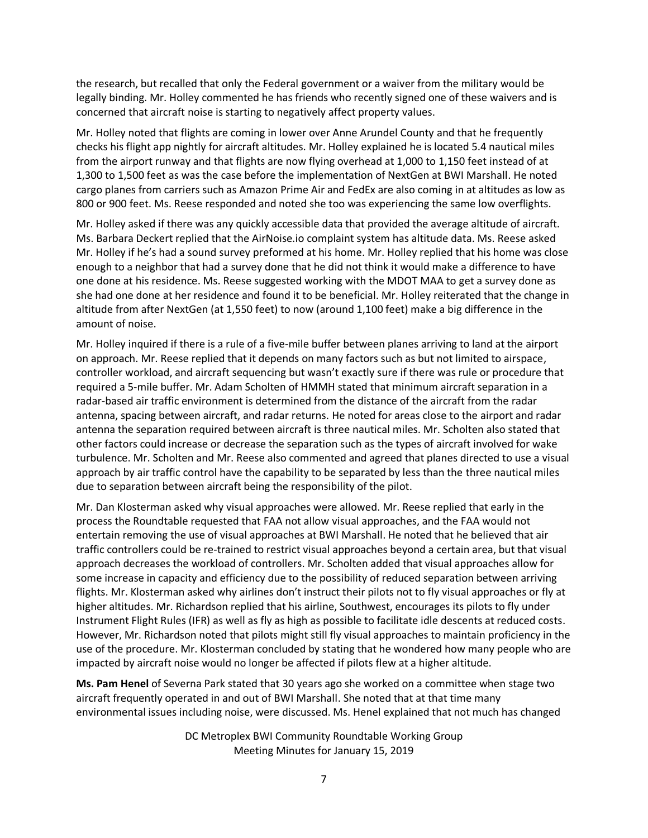the research, but recalled that only the Federal government or a waiver from the military would be legally binding. Mr. Holley commented he has friends who recently signed one of these waivers and is concerned that aircraft noise is starting to negatively affect property values.

Mr. Holley noted that flights are coming in lower over Anne Arundel County and that he frequently checks his flight app nightly for aircraft altitudes. Mr. Holley explained he is located 5.4 nautical miles from the airport runway and that flights are now flying overhead at 1,000 to 1,150 feet instead of at 1,300 to 1,500 feet as was the case before the implementation of NextGen at BWI Marshall. He noted cargo planes from carriers such as Amazon Prime Air and FedEx are also coming in at altitudes as low as 800 or 900 feet. Ms. Reese responded and noted she too was experiencing the same low overflights.

Mr. Holley asked if there was any quickly accessible data that provided the average altitude of aircraft. Ms. Barbara Deckert replied that the AirNoise.io complaint system has altitude data. Ms. Reese asked Mr. Holley if he's had a sound survey preformed at his home. Mr. Holley replied that his home was close enough to a neighbor that had a survey done that he did not think it would make a difference to have one done at his residence. Ms. Reese suggested working with the MDOT MAA to get a survey done as she had one done at her residence and found it to be beneficial. Mr. Holley reiterated that the change in altitude from after NextGen (at 1,550 feet) to now (around 1,100 feet) make a big difference in the amount of noise.

Mr. Holley inquired if there is a rule of a five-mile buffer between planes arriving to land at the airport on approach. Mr. Reese replied that it depends on many factors such as but not limited to airspace, controller workload, and aircraft sequencing but wasn't exactly sure if there was rule or procedure that required a 5-mile buffer. Mr. Adam Scholten of HMMH stated that minimum aircraft separation in a radar-based air traffic environment is determined from the distance of the aircraft from the radar antenna, spacing between aircraft, and radar returns. He noted for areas close to the airport and radar antenna the separation required between aircraft is three nautical miles. Mr. Scholten also stated that other factors could increase or decrease the separation such as the types of aircraft involved for wake turbulence. Mr. Scholten and Mr. Reese also commented and agreed that planes directed to use a visual approach by air traffic control have the capability to be separated by less than the three nautical miles due to separation between aircraft being the responsibility of the pilot.

Mr. Dan Klosterman asked why visual approaches were allowed. Mr. Reese replied that early in the process the Roundtable requested that FAA not allow visual approaches, and the FAA would not entertain removing the use of visual approaches at BWI Marshall. He noted that he believed that air traffic controllers could be re-trained to restrict visual approaches beyond a certain area, but that visual approach decreases the workload of controllers. Mr. Scholten added that visual approaches allow for some increase in capacity and efficiency due to the possibility of reduced separation between arriving flights. Mr. Klosterman asked why airlines don't instruct their pilots not to fly visual approaches or fly at higher altitudes. Mr. Richardson replied that his airline, Southwest, encourages its pilots to fly under Instrument Flight Rules (IFR) as well as fly as high as possible to facilitate idle descents at reduced costs. However, Mr. Richardson noted that pilots might still fly visual approaches to maintain proficiency in the use of the procedure. Mr. Klosterman concluded by stating that he wondered how many people who are impacted by aircraft noise would no longer be affected if pilots flew at a higher altitude.

**Ms. Pam Henel** of Severna Park stated that 30 years ago she worked on a committee when stage two aircraft frequently operated in and out of BWI Marshall. She noted that at that time many environmental issues including noise, were discussed. Ms. Henel explained that not much has changed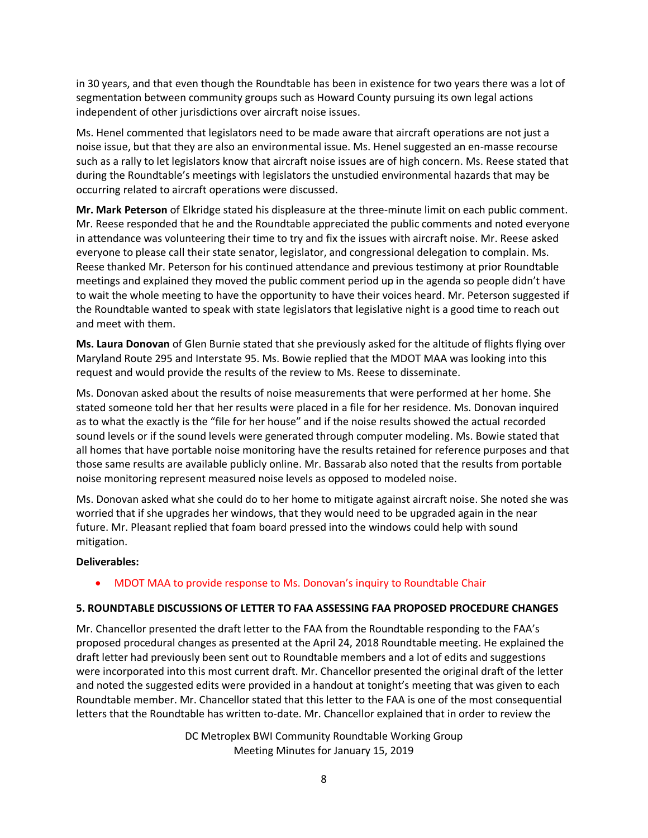in 30 years, and that even though the Roundtable has been in existence for two years there was a lot of segmentation between community groups such as Howard County pursuing its own legal actions independent of other jurisdictions over aircraft noise issues.

Ms. Henel commented that legislators need to be made aware that aircraft operations are not just a noise issue, but that they are also an environmental issue. Ms. Henel suggested an en-masse recourse such as a rally to let legislators know that aircraft noise issues are of high concern. Ms. Reese stated that during the Roundtable's meetings with legislators the unstudied environmental hazards that may be occurring related to aircraft operations were discussed.

**Mr. Mark Peterson** of Elkridge stated his displeasure at the three-minute limit on each public comment. Mr. Reese responded that he and the Roundtable appreciated the public comments and noted everyone in attendance was volunteering their time to try and fix the issues with aircraft noise. Mr. Reese asked everyone to please call their state senator, legislator, and congressional delegation to complain. Ms. Reese thanked Mr. Peterson for his continued attendance and previous testimony at prior Roundtable meetings and explained they moved the public comment period up in the agenda so people didn't have to wait the whole meeting to have the opportunity to have their voices heard. Mr. Peterson suggested if the Roundtable wanted to speak with state legislators that legislative night is a good time to reach out and meet with them.

**Ms. Laura Donovan** of Glen Burnie stated that she previously asked for the altitude of flights flying over Maryland Route 295 and Interstate 95. Ms. Bowie replied that the MDOT MAA was looking into this request and would provide the results of the review to Ms. Reese to disseminate.

Ms. Donovan asked about the results of noise measurements that were performed at her home. She stated someone told her that her results were placed in a file for her residence. Ms. Donovan inquired as to what the exactly is the "file for her house" and if the noise results showed the actual recorded sound levels or if the sound levels were generated through computer modeling. Ms. Bowie stated that all homes that have portable noise monitoring have the results retained for reference purposes and that those same results are available publicly online. Mr. Bassarab also noted that the results from portable noise monitoring represent measured noise levels as opposed to modeled noise.

Ms. Donovan asked what she could do to her home to mitigate against aircraft noise. She noted she was worried that if she upgrades her windows, that they would need to be upgraded again in the near future. Mr. Pleasant replied that foam board pressed into the windows could help with sound mitigation.

### **Deliverables:**

• MDOT MAA to provide response to Ms. Donovan's inquiry to Roundtable Chair

### **5. ROUNDTABLE DISCUSSIONS OF LETTER TO FAA ASSESSING FAA PROPOSED PROCEDURE CHANGES**

Mr. Chancellor presented the draft letter to the FAA from the Roundtable responding to the FAA's proposed procedural changes as presented at the April 24, 2018 Roundtable meeting. He explained the draft letter had previously been sent out to Roundtable members and a lot of edits and suggestions were incorporated into this most current draft. Mr. Chancellor presented the original draft of the letter and noted the suggested edits were provided in a handout at tonight's meeting that was given to each Roundtable member. Mr. Chancellor stated that this letter to the FAA is one of the most consequential letters that the Roundtable has written to-date. Mr. Chancellor explained that in order to review the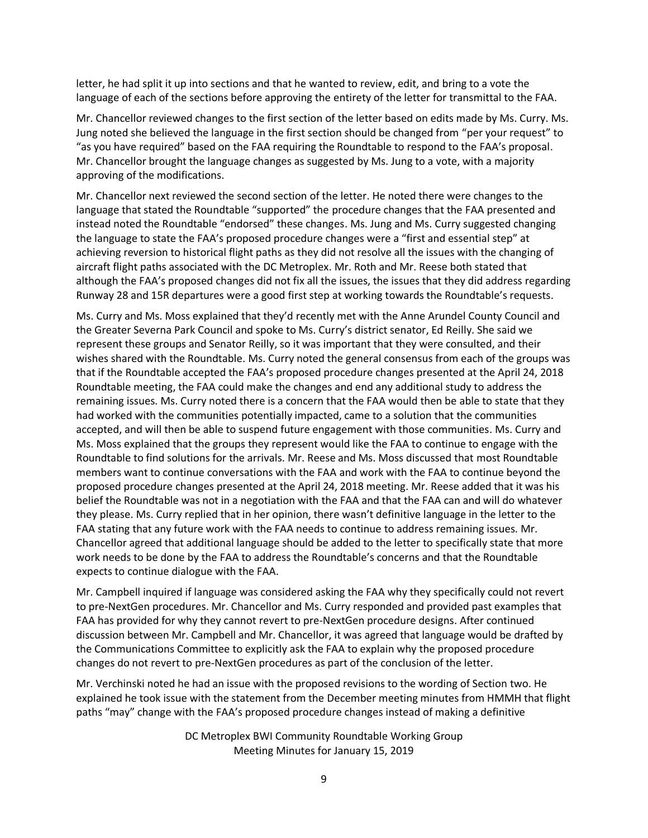letter, he had split it up into sections and that he wanted to review, edit, and bring to a vote the language of each of the sections before approving the entirety of the letter for transmittal to the FAA.

Mr. Chancellor reviewed changes to the first section of the letter based on edits made by Ms. Curry. Ms. Jung noted she believed the language in the first section should be changed from "per your request" to "as you have required" based on the FAA requiring the Roundtable to respond to the FAA's proposal. Mr. Chancellor brought the language changes as suggested by Ms. Jung to a vote, with a majority approving of the modifications.

Mr. Chancellor next reviewed the second section of the letter. He noted there were changes to the language that stated the Roundtable "supported" the procedure changes that the FAA presented and instead noted the Roundtable "endorsed" these changes. Ms. Jung and Ms. Curry suggested changing the language to state the FAA's proposed procedure changes were a "first and essential step" at achieving reversion to historical flight paths as they did not resolve all the issues with the changing of aircraft flight paths associated with the DC Metroplex. Mr. Roth and Mr. Reese both stated that although the FAA's proposed changes did not fix all the issues, the issues that they did address regarding Runway 28 and 15R departures were a good first step at working towards the Roundtable's requests.

Ms. Curry and Ms. Moss explained that they'd recently met with the Anne Arundel County Council and the Greater Severna Park Council and spoke to Ms. Curry's district senator, Ed Reilly. She said we represent these groups and Senator Reilly, so it was important that they were consulted, and their wishes shared with the Roundtable. Ms. Curry noted the general consensus from each of the groups was that if the Roundtable accepted the FAA's proposed procedure changes presented at the April 24, 2018 Roundtable meeting, the FAA could make the changes and end any additional study to address the remaining issues. Ms. Curry noted there is a concern that the FAA would then be able to state that they had worked with the communities potentially impacted, came to a solution that the communities accepted, and will then be able to suspend future engagement with those communities. Ms. Curry and Ms. Moss explained that the groups they represent would like the FAA to continue to engage with the Roundtable to find solutions for the arrivals. Mr. Reese and Ms. Moss discussed that most Roundtable members want to continue conversations with the FAA and work with the FAA to continue beyond the proposed procedure changes presented at the April 24, 2018 meeting. Mr. Reese added that it was his belief the Roundtable was not in a negotiation with the FAA and that the FAA can and will do whatever they please. Ms. Curry replied that in her opinion, there wasn't definitive language in the letter to the FAA stating that any future work with the FAA needs to continue to address remaining issues. Mr. Chancellor agreed that additional language should be added to the letter to specifically state that more work needs to be done by the FAA to address the Roundtable's concerns and that the Roundtable expects to continue dialogue with the FAA.

Mr. Campbell inquired if language was considered asking the FAA why they specifically could not revert to pre-NextGen procedures. Mr. Chancellor and Ms. Curry responded and provided past examples that FAA has provided for why they cannot revert to pre-NextGen procedure designs. After continued discussion between Mr. Campbell and Mr. Chancellor, it was agreed that language would be drafted by the Communications Committee to explicitly ask the FAA to explain why the proposed procedure changes do not revert to pre-NextGen procedures as part of the conclusion of the letter.

Mr. Verchinski noted he had an issue with the proposed revisions to the wording of Section two. He explained he took issue with the statement from the December meeting minutes from HMMH that flight paths "may" change with the FAA's proposed procedure changes instead of making a definitive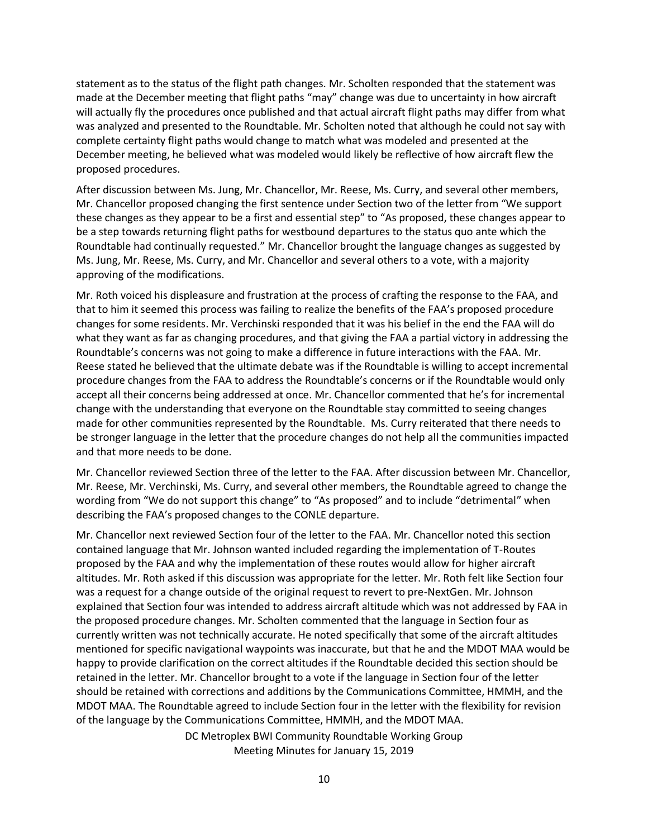statement as to the status of the flight path changes. Mr. Scholten responded that the statement was made at the December meeting that flight paths "may" change was due to uncertainty in how aircraft will actually fly the procedures once published and that actual aircraft flight paths may differ from what was analyzed and presented to the Roundtable. Mr. Scholten noted that although he could not say with complete certainty flight paths would change to match what was modeled and presented at the December meeting, he believed what was modeled would likely be reflective of how aircraft flew the proposed procedures.

After discussion between Ms. Jung, Mr. Chancellor, Mr. Reese, Ms. Curry, and several other members, Mr. Chancellor proposed changing the first sentence under Section two of the letter from "We support these changes as they appear to be a first and essential step" to "As proposed, these changes appear to be a step towards returning flight paths for westbound departures to the status quo ante which the Roundtable had continually requested." Mr. Chancellor brought the language changes as suggested by Ms. Jung, Mr. Reese, Ms. Curry, and Mr. Chancellor and several others to a vote, with a majority approving of the modifications.

Mr. Roth voiced his displeasure and frustration at the process of crafting the response to the FAA, and that to him it seemed this process was failing to realize the benefits of the FAA's proposed procedure changes for some residents. Mr. Verchinski responded that it was his belief in the end the FAA will do what they want as far as changing procedures, and that giving the FAA a partial victory in addressing the Roundtable's concerns was not going to make a difference in future interactions with the FAA. Mr. Reese stated he believed that the ultimate debate was if the Roundtable is willing to accept incremental procedure changes from the FAA to address the Roundtable's concerns or if the Roundtable would only accept all their concerns being addressed at once. Mr. Chancellor commented that he's for incremental change with the understanding that everyone on the Roundtable stay committed to seeing changes made for other communities represented by the Roundtable. Ms. Curry reiterated that there needs to be stronger language in the letter that the procedure changes do not help all the communities impacted and that more needs to be done.

Mr. Chancellor reviewed Section three of the letter to the FAA. After discussion between Mr. Chancellor, Mr. Reese, Mr. Verchinski, Ms. Curry, and several other members, the Roundtable agreed to change the wording from "We do not support this change" to "As proposed" and to include "detrimental" when describing the FAA's proposed changes to the CONLE departure.

Mr. Chancellor next reviewed Section four of the letter to the FAA. Mr. Chancellor noted this section contained language that Mr. Johnson wanted included regarding the implementation of T-Routes proposed by the FAA and why the implementation of these routes would allow for higher aircraft altitudes. Mr. Roth asked if this discussion was appropriate for the letter. Mr. Roth felt like Section four was a request for a change outside of the original request to revert to pre-NextGen. Mr. Johnson explained that Section four was intended to address aircraft altitude which was not addressed by FAA in the proposed procedure changes. Mr. Scholten commented that the language in Section four as currently written was not technically accurate. He noted specifically that some of the aircraft altitudes mentioned for specific navigational waypoints was inaccurate, but that he and the MDOT MAA would be happy to provide clarification on the correct altitudes if the Roundtable decided this section should be retained in the letter. Mr. Chancellor brought to a vote if the language in Section four of the letter should be retained with corrections and additions by the Communications Committee, HMMH, and the MDOT MAA. The Roundtable agreed to include Section four in the letter with the flexibility for revision of the language by the Communications Committee, HMMH, and the MDOT MAA.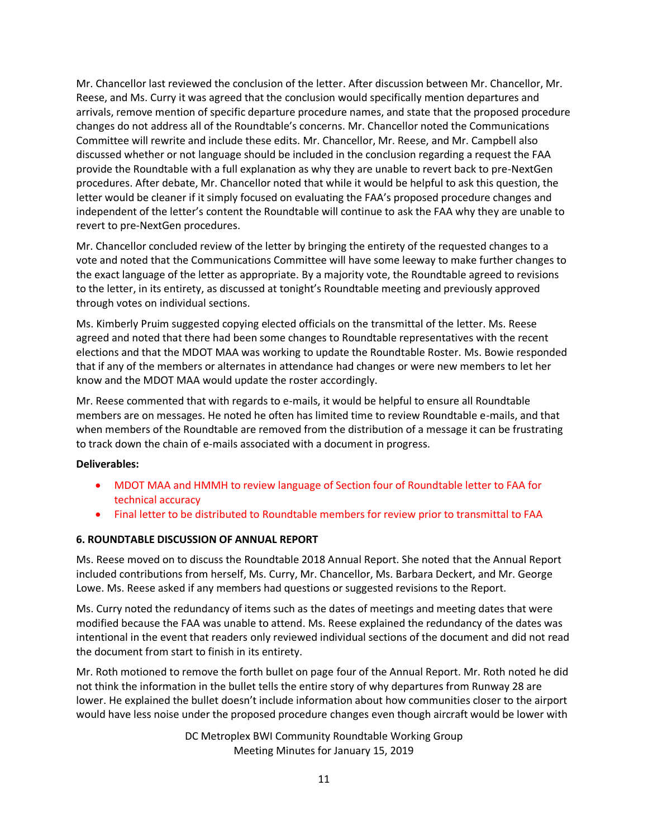Mr. Chancellor last reviewed the conclusion of the letter. After discussion between Mr. Chancellor, Mr. Reese, and Ms. Curry it was agreed that the conclusion would specifically mention departures and arrivals, remove mention of specific departure procedure names, and state that the proposed procedure changes do not address all of the Roundtable's concerns. Mr. Chancellor noted the Communications Committee will rewrite and include these edits. Mr. Chancellor, Mr. Reese, and Mr. Campbell also discussed whether or not language should be included in the conclusion regarding a request the FAA provide the Roundtable with a full explanation as why they are unable to revert back to pre-NextGen procedures. After debate, Mr. Chancellor noted that while it would be helpful to ask this question, the letter would be cleaner if it simply focused on evaluating the FAA's proposed procedure changes and independent of the letter's content the Roundtable will continue to ask the FAA why they are unable to revert to pre-NextGen procedures.

Mr. Chancellor concluded review of the letter by bringing the entirety of the requested changes to a vote and noted that the Communications Committee will have some leeway to make further changes to the exact language of the letter as appropriate. By a majority vote, the Roundtable agreed to revisions to the letter, in its entirety, as discussed at tonight's Roundtable meeting and previously approved through votes on individual sections.

Ms. Kimberly Pruim suggested copying elected officials on the transmittal of the letter. Ms. Reese agreed and noted that there had been some changes to Roundtable representatives with the recent elections and that the MDOT MAA was working to update the Roundtable Roster. Ms. Bowie responded that if any of the members or alternates in attendance had changes or were new members to let her know and the MDOT MAA would update the roster accordingly.

Mr. Reese commented that with regards to e-mails, it would be helpful to ensure all Roundtable members are on messages. He noted he often has limited time to review Roundtable e-mails, and that when members of the Roundtable are removed from the distribution of a message it can be frustrating to track down the chain of e-mails associated with a document in progress.

### **Deliverables:**

- MDOT MAA and HMMH to review language of Section four of Roundtable letter to FAA for technical accuracy
- Final letter to be distributed to Roundtable members for review prior to transmittal to FAA

#### **6. ROUNDTABLE DISCUSSION OF ANNUAL REPORT**

Ms. Reese moved on to discuss the Roundtable 2018 Annual Report. She noted that the Annual Report included contributions from herself, Ms. Curry, Mr. Chancellor, Ms. Barbara Deckert, and Mr. George Lowe. Ms. Reese asked if any members had questions or suggested revisions to the Report.

Ms. Curry noted the redundancy of items such as the dates of meetings and meeting dates that were modified because the FAA was unable to attend. Ms. Reese explained the redundancy of the dates was intentional in the event that readers only reviewed individual sections of the document and did not read the document from start to finish in its entirety.

Mr. Roth motioned to remove the forth bullet on page four of the Annual Report. Mr. Roth noted he did not think the information in the bullet tells the entire story of why departures from Runway 28 are lower. He explained the bullet doesn't include information about how communities closer to the airport would have less noise under the proposed procedure changes even though aircraft would be lower with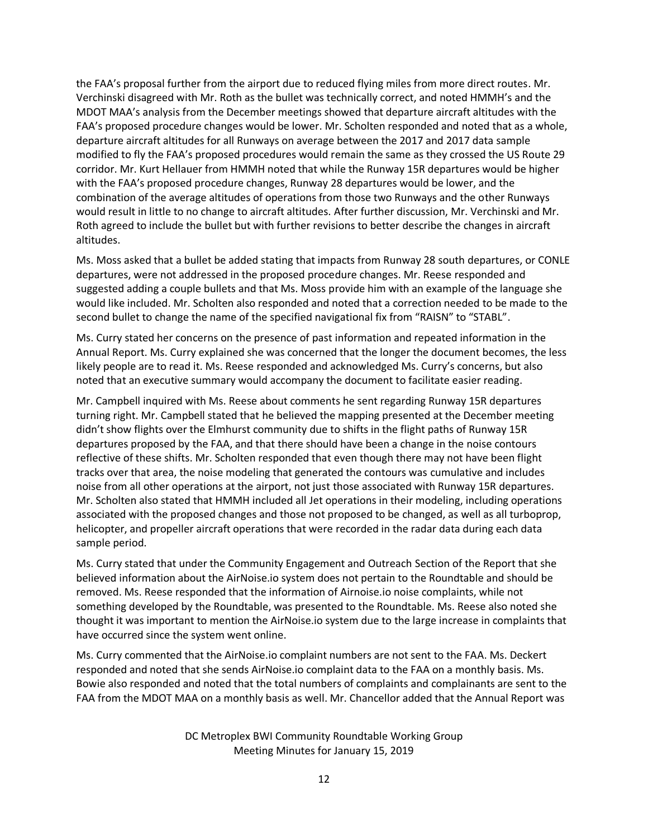the FAA's proposal further from the airport due to reduced flying miles from more direct routes. Mr. Verchinski disagreed with Mr. Roth as the bullet was technically correct, and noted HMMH's and the MDOT MAA's analysis from the December meetings showed that departure aircraft altitudes with the FAA's proposed procedure changes would be lower. Mr. Scholten responded and noted that as a whole, departure aircraft altitudes for all Runways on average between the 2017 and 2017 data sample modified to fly the FAA's proposed procedures would remain the same as they crossed the US Route 29 corridor. Mr. Kurt Hellauer from HMMH noted that while the Runway 15R departures would be higher with the FAA's proposed procedure changes, Runway 28 departures would be lower, and the combination of the average altitudes of operations from those two Runways and the other Runways would result in little to no change to aircraft altitudes. After further discussion, Mr. Verchinski and Mr. Roth agreed to include the bullet but with further revisions to better describe the changes in aircraft altitudes.

Ms. Moss asked that a bullet be added stating that impacts from Runway 28 south departures, or CONLE departures, were not addressed in the proposed procedure changes. Mr. Reese responded and suggested adding a couple bullets and that Ms. Moss provide him with an example of the language she would like included. Mr. Scholten also responded and noted that a correction needed to be made to the second bullet to change the name of the specified navigational fix from "RAISN" to "STABL".

Ms. Curry stated her concerns on the presence of past information and repeated information in the Annual Report. Ms. Curry explained she was concerned that the longer the document becomes, the less likely people are to read it. Ms. Reese responded and acknowledged Ms. Curry's concerns, but also noted that an executive summary would accompany the document to facilitate easier reading.

Mr. Campbell inquired with Ms. Reese about comments he sent regarding Runway 15R departures turning right. Mr. Campbell stated that he believed the mapping presented at the December meeting didn't show flights over the Elmhurst community due to shifts in the flight paths of Runway 15R departures proposed by the FAA, and that there should have been a change in the noise contours reflective of these shifts. Mr. Scholten responded that even though there may not have been flight tracks over that area, the noise modeling that generated the contours was cumulative and includes noise from all other operations at the airport, not just those associated with Runway 15R departures. Mr. Scholten also stated that HMMH included all Jet operations in their modeling, including operations associated with the proposed changes and those not proposed to be changed, as well as all turboprop, helicopter, and propeller aircraft operations that were recorded in the radar data during each data sample period.

Ms. Curry stated that under the Community Engagement and Outreach Section of the Report that she believed information about the AirNoise.io system does not pertain to the Roundtable and should be removed. Ms. Reese responded that the information of Airnoise.io noise complaints, while not something developed by the Roundtable, was presented to the Roundtable. Ms. Reese also noted she thought it was important to mention the AirNoise.io system due to the large increase in complaints that have occurred since the system went online.

Ms. Curry commented that the AirNoise.io complaint numbers are not sent to the FAA. Ms. Deckert responded and noted that she sends AirNoise.io complaint data to the FAA on a monthly basis. Ms. Bowie also responded and noted that the total numbers of complaints and complainants are sent to the FAA from the MDOT MAA on a monthly basis as well. Mr. Chancellor added that the Annual Report was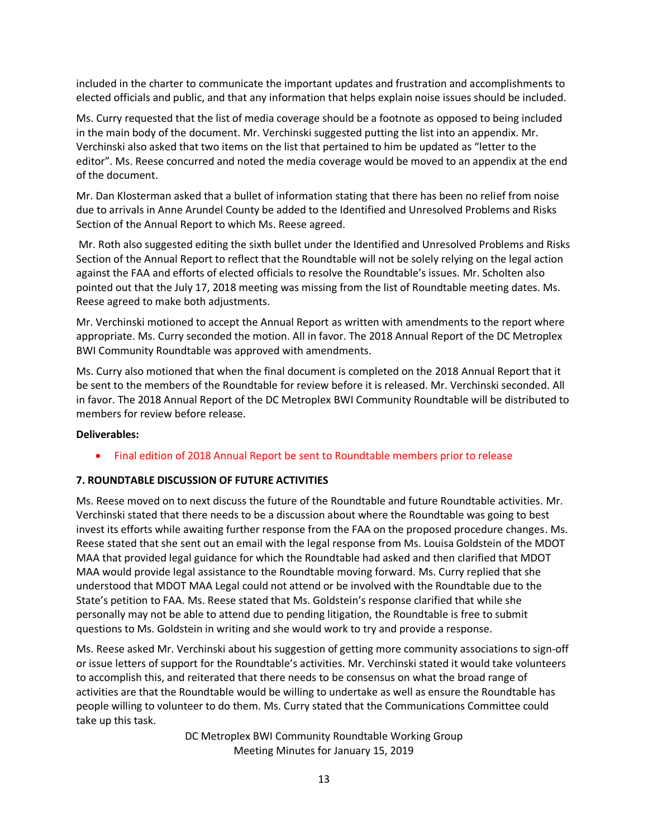included in the charter to communicate the important updates and frustration and accomplishments to elected officials and public, and that any information that helps explain noise issues should be included.

Ms. Curry requested that the list of media coverage should be a footnote as opposed to being included in the main body of the document. Mr. Verchinski suggested putting the list into an appendix. Mr. Verchinski also asked that two items on the list that pertained to him be updated as "letter to the editor". Ms. Reese concurred and noted the media coverage would be moved to an appendix at the end of the document.

Mr. Dan Klosterman asked that a bullet of information stating that there has been no relief from noise due to arrivals in Anne Arundel County be added to the Identified and Unresolved Problems and Risks Section of the Annual Report to which Ms. Reese agreed.

Mr. Roth also suggested editing the sixth bullet under the Identified and Unresolved Problems and Risks Section of the Annual Report to reflect that the Roundtable will not be solely relying on the legal action against the FAA and efforts of elected officials to resolve the Roundtable's issues. Mr. Scholten also pointed out that the July 17, 2018 meeting was missing from the list of Roundtable meeting dates. Ms. Reese agreed to make both adjustments.

Mr. Verchinski motioned to accept the Annual Report as written with amendments to the report where appropriate. Ms. Curry seconded the motion. All in favor. The 2018 Annual Report of the DC Metroplex BWI Community Roundtable was approved with amendments.

Ms. Curry also motioned that when the final document is completed on the 2018 Annual Report that it be sent to the members of the Roundtable for review before it is released. Mr. Verchinski seconded. All in favor. The 2018 Annual Report of the DC Metroplex BWI Community Roundtable will be distributed to members for review before release.

### **Deliverables:**

Final edition of 2018 Annual Report be sent to Roundtable members prior to release

### **7. ROUNDTABLE DISCUSSION OF FUTURE ACTIVITIES**

Ms. Reese moved on to next discuss the future of the Roundtable and future Roundtable activities. Mr. Verchinski stated that there needs to be a discussion about where the Roundtable was going to best invest its efforts while awaiting further response from the FAA on the proposed procedure changes. Ms. Reese stated that she sent out an email with the legal response from Ms. Louisa Goldstein of the MDOT MAA that provided legal guidance for which the Roundtable had asked and then clarified that MDOT MAA would provide legal assistance to the Roundtable moving forward. Ms. Curry replied that she understood that MDOT MAA Legal could not attend or be involved with the Roundtable due to the State's petition to FAA. Ms. Reese stated that Ms. Goldstein's response clarified that while she personally may not be able to attend due to pending litigation, the Roundtable is free to submit questions to Ms. Goldstein in writing and she would work to try and provide a response.

Ms. Reese asked Mr. Verchinski about his suggestion of getting more community associations to sign-off or issue letters of support for the Roundtable's activities. Mr. Verchinski stated it would take volunteers to accomplish this, and reiterated that there needs to be consensus on what the broad range of activities are that the Roundtable would be willing to undertake as well as ensure the Roundtable has people willing to volunteer to do them. Ms. Curry stated that the Communications Committee could take up this task.